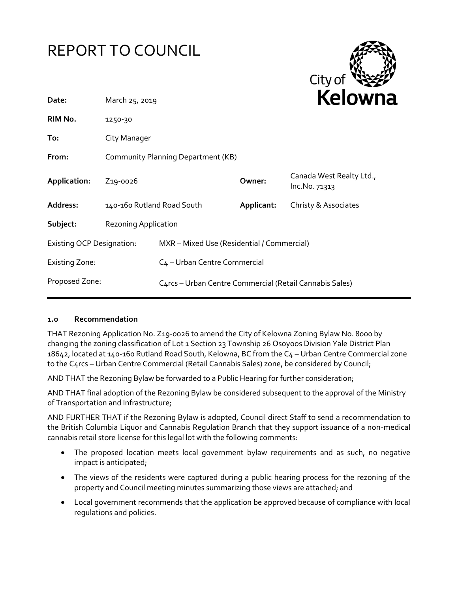



| March 25, 2019                     |                                                         |                            | <b>NEIUWH</b>                             |  |
|------------------------------------|---------------------------------------------------------|----------------------------|-------------------------------------------|--|
| 1250-30                            |                                                         |                            |                                           |  |
| City Manager                       |                                                         |                            |                                           |  |
| Community Planning Department (KB) |                                                         |                            |                                           |  |
| Z <sub>19</sub> -0026              |                                                         | Owner:                     | Canada West Realty Ltd.,<br>Inc.No. 71313 |  |
|                                    |                                                         | Applicant:                 | Christy & Associates                      |  |
| Rezoning Application               |                                                         |                            |                                           |  |
| <b>Existing OCP Designation:</b>   | MXR - Mixed Use (Residential / Commercial)              |                            |                                           |  |
|                                    | C <sub>4</sub> - Urban Centre Commercial                |                            |                                           |  |
|                                    | C4rcs - Urban Centre Commercial (Retail Cannabis Sales) |                            |                                           |  |
|                                    |                                                         | 140-160 Rutland Road South |                                           |  |

#### **1.0 Recommendation**

THAT Rezoning Application No. Z19-0026 to amend the City of Kelowna Zoning Bylaw No. 8000 by changing the zoning classification of Lot 1 Section 23 Township 26 Osoyoos Division Yale District Plan 18642, located at 140-160 Rutland Road South, Kelowna, BC from the C4 – Urban Centre Commercial zone to the C4rcs – Urban Centre Commercial (Retail Cannabis Sales) zone, be considered by Council;

AND THAT the Rezoning Bylaw be forwarded to a Public Hearing for further consideration;

AND THAT final adoption of the Rezoning Bylaw be considered subsequent to the approval of the Ministry of Transportation and Infrastructure;

AND FURTHER THAT if the Rezoning Bylaw is adopted, Council direct Staff to send a recommendation to the British Columbia Liquor and Cannabis Regulation Branch that they support issuance of a non-medical cannabis retail store license for this legal lot with the following comments:

- The proposed location meets local government bylaw requirements and as such, no negative impact is anticipated;
- The views of the residents were captured during a public hearing process for the rezoning of the property and Council meeting minutes summarizing those views are attached; and
- Local government recommends that the application be approved because of compliance with local regulations and policies.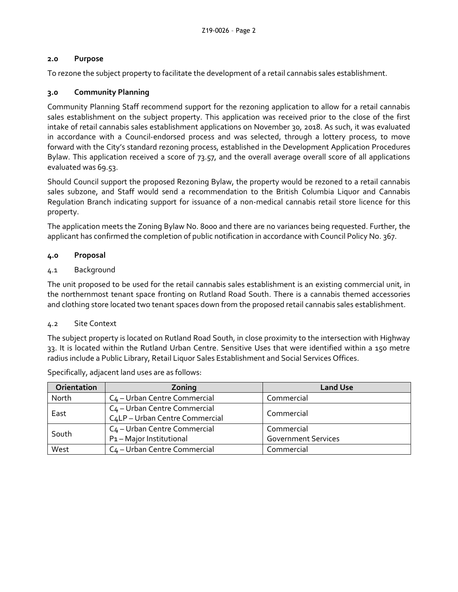## **2.0 Purpose**

To rezone the subject property to facilitate the development of a retail cannabis sales establishment.

# **3.0 Community Planning**

Community Planning Staff recommend support for the rezoning application to allow for a retail cannabis sales establishment on the subject property. This application was received prior to the close of the first intake of retail cannabis sales establishment applications on November 30, 2018. As such, it was evaluated in accordance with a Council-endorsed process and was selected, through a lottery process, to move forward with the City's standard rezoning process, established in the Development Application Procedures Bylaw. This application received a score of 73.57, and the overall average overall score of all applications evaluated was 69.53.

Should Council support the proposed Rezoning Bylaw, the property would be rezoned to a retail cannabis sales subzone, and Staff would send a recommendation to the British Columbia Liquor and Cannabis Regulation Branch indicating support for issuance of a non-medical cannabis retail store licence for this property.

The application meets the Zoning Bylaw No. 8000 and there are no variances being requested. Further, the applicant has confirmed the completion of public notification in accordance with Council Policy No. 367.

### **4.0 Proposal**

### 4.1 Background

The unit proposed to be used for the retail cannabis sales establishment is an existing commercial unit, in the northernmost tenant space fronting on Rutland Road South. There is a cannabis themed accessories and clothing store located two tenant spaces down from the proposed retail cannabis sales establishment.

#### 4.2 Site Context

The subject property is located on Rutland Road South, in close proximity to the intersection with Highway 33. It is located within the Rutland Urban Centre. Sensitive Uses that were identified within a 150 metre radius include a Public Library, Retail Liquor Sales Establishment and Social Services Offices.

| Orientation | Zoning                                   | <b>Land Use</b>            |  |
|-------------|------------------------------------------|----------------------------|--|
| North       | C <sub>4</sub> – Urban Centre Commercial | Commercial                 |  |
| East        | C <sub>4</sub> - Urban Centre Commercial | Commercial                 |  |
|             | C4LP - Urban Centre Commercial           |                            |  |
| South       | C <sub>4</sub> - Urban Centre Commercial | Commercial                 |  |
|             | P1-Major Institutional                   | <b>Government Services</b> |  |
| West        | C <sub>4</sub> - Urban Centre Commercial | Commercial                 |  |

Specifically, adjacent land uses are as follows: